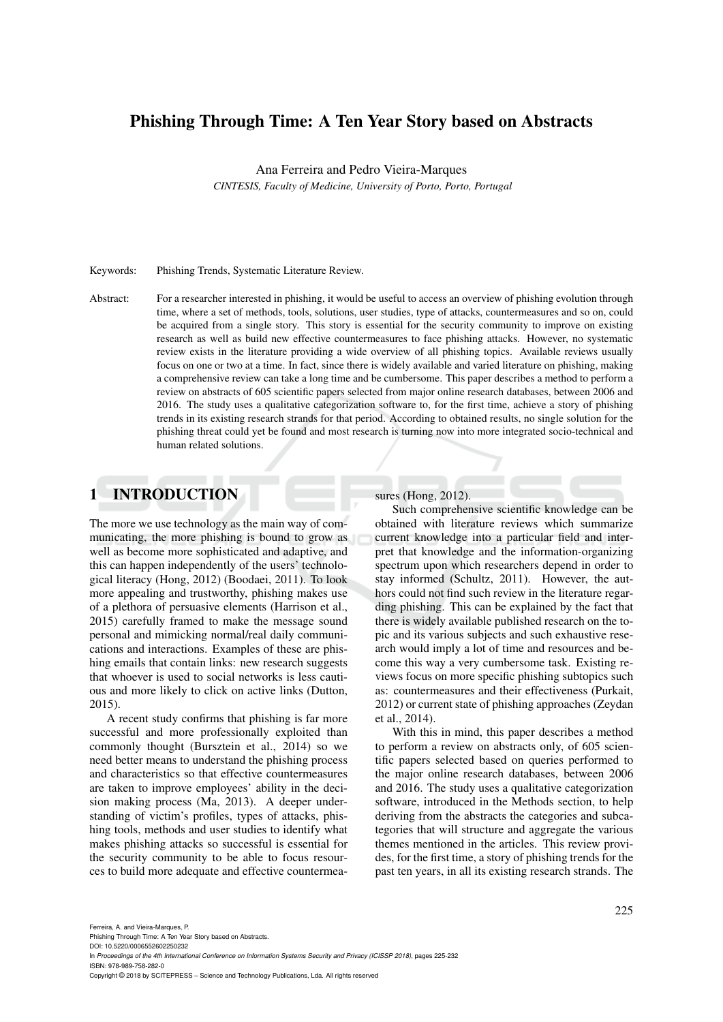# Phishing Through Time: A Ten Year Story based on Abstracts

Ana Ferreira and Pedro Vieira-Marques

*CINTESIS, Faculty of Medicine, University of Porto, Porto, Portugal*

#### Keywords: Phishing Trends, Systematic Literature Review.

Abstract: For a researcher interested in phishing, it would be useful to access an overview of phishing evolution through time, where a set of methods, tools, solutions, user studies, type of attacks, countermeasures and so on, could be acquired from a single story. This story is essential for the security community to improve on existing research as well as build new effective countermeasures to face phishing attacks. However, no systematic review exists in the literature providing a wide overview of all phishing topics. Available reviews usually focus on one or two at a time. In fact, since there is widely available and varied literature on phishing, making a comprehensive review can take a long time and be cumbersome. This paper describes a method to perform a review on abstracts of 605 scientific papers selected from major online research databases, between 2006 and 2016. The study uses a qualitative categorization software to, for the first time, achieve a story of phishing trends in its existing research strands for that period. According to obtained results, no single solution for the phishing threat could yet be found and most research is turning now into more integrated socio-technical and human related solutions.

## 1 INTRODUCTION

The more we use technology as the main way of communicating, the more phishing is bound to grow as well as become more sophisticated and adaptive, and this can happen independently of the users' technological literacy (Hong, 2012) (Boodaei, 2011). To look more appealing and trustworthy, phishing makes use of a plethora of persuasive elements (Harrison et al., 2015) carefully framed to make the message sound personal and mimicking normal/real daily communications and interactions. Examples of these are phishing emails that contain links: new research suggests that whoever is used to social networks is less cautious and more likely to click on active links (Dutton, 2015).

A recent study confirms that phishing is far more successful and more professionally exploited than commonly thought (Bursztein et al., 2014) so we need better means to understand the phishing process and characteristics so that effective countermeasures are taken to improve employees' ability in the decision making process (Ma, 2013). A deeper understanding of victim's profiles, types of attacks, phishing tools, methods and user studies to identify what makes phishing attacks so successful is essential for the security community to be able to focus resources to build more adequate and effective countermeasures (Hong, 2012).

Such comprehensive scientific knowledge can be obtained with literature reviews which summarize current knowledge into a particular field and interpret that knowledge and the information-organizing spectrum upon which researchers depend in order to stay informed (Schultz, 2011). However, the authors could not find such review in the literature regarding phishing. This can be explained by the fact that there is widely available published research on the topic and its various subjects and such exhaustive research would imply a lot of time and resources and become this way a very cumbersome task. Existing reviews focus on more specific phishing subtopics such as: countermeasures and their effectiveness (Purkait, 2012) or current state of phishing approaches (Zeydan et al., 2014).

With this in mind, this paper describes a method to perform a review on abstracts only, of 605 scientific papers selected based on queries performed to the major online research databases, between 2006 and 2016. The study uses a qualitative categorization software, introduced in the Methods section, to help deriving from the abstracts the categories and subcategories that will structure and aggregate the various themes mentioned in the articles. This review provides, for the first time, a story of phishing trends for the past ten years, in all its existing research strands. The

Phishing Through Time: A Ten Year Story based on Abstracts.

In *Proceedings of the 4th International Conference on Information Systems Security and Privacy (ICISSP 2018)*, pages 225-232 ISBN: 978-989-758-282-0

Copyright © 2018 by SCITEPRESS – Science and Technology Publications, Lda. All rights reserved

DOI: 10.5220/0006552602250232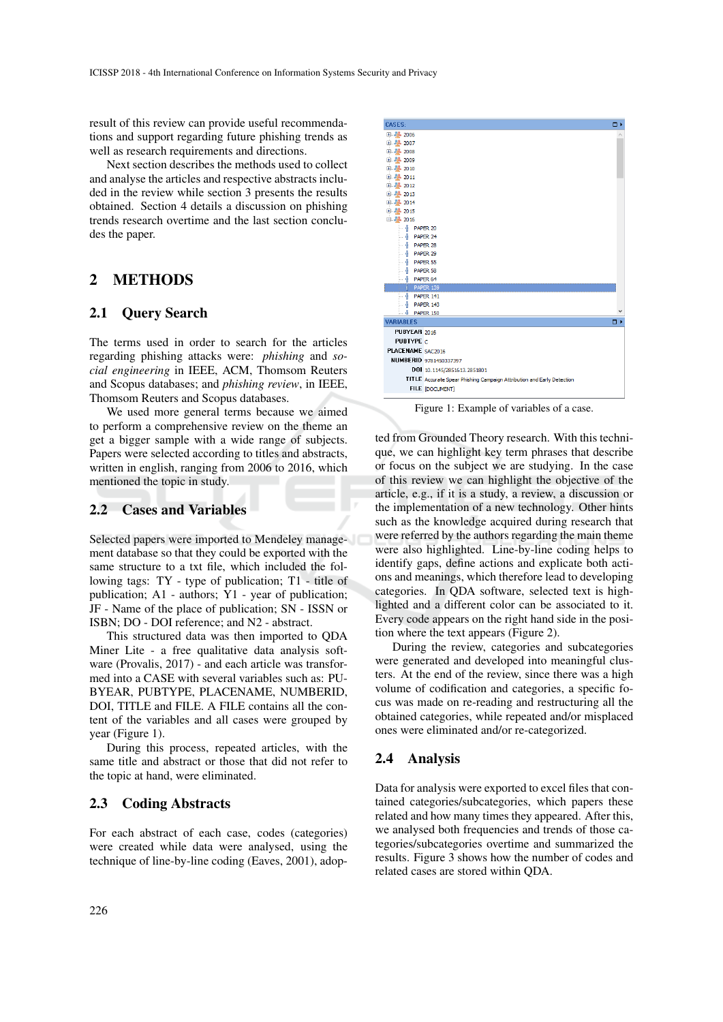result of this review can provide useful recommendations and support regarding future phishing trends as well as research requirements and directions.

Next section describes the methods used to collect and analyse the articles and respective abstracts included in the review while section 3 presents the results obtained. Section 4 details a discussion on phishing trends research overtime and the last section concludes the paper.

## 2 METHODS

### 2.1 Query Search

The terms used in order to search for the articles regarding phishing attacks were: *phishing* and *social engineering* in IEEE, ACM, Thomsom Reuters and Scopus databases; and *phishing review*, in IEEE, Thomsom Reuters and Scopus databases.

We used more general terms because we aimed to perform a comprehensive review on the theme an get a bigger sample with a wide range of subjects. Papers were selected according to titles and abstracts, written in english, ranging from 2006 to 2016, which mentioned the topic in study.

#### 2.2 Cases and Variables

Selected papers were imported to Mendeley management database so that they could be exported with the same structure to a txt file, which included the following tags: TY - type of publication; T1 - title of publication; A1 - authors; Y1 - year of publication; JF - Name of the place of publication; SN - ISSN or ISBN; DO - DOI reference; and N2 - abstract.

This structured data was then imported to QDA Miner Lite - a free qualitative data analysis software (Provalis, 2017) - and each article was transformed into a CASE with several variables such as: PU-BYEAR, PUBTYPE, PLACENAME, NUMBERID, DOI, TITLE and FILE. A FILE contains all the content of the variables and all cases were grouped by year (Figure 1).

During this process, repeated articles, with the same title and abstract or those that did not refer to the topic at hand, were eliminated.

### 2.3 Coding Abstracts

For each abstract of each case, codes (categories) were created while data were analysed, using the technique of line-by-line coding (Eaves, 2001), adop-



Figure 1: Example of variables of a case.

ted from Grounded Theory research. With this technique, we can highlight key term phrases that describe or focus on the subject we are studying. In the case of this review we can highlight the objective of the article, e.g., if it is a study, a review, a discussion or the implementation of a new technology. Other hints such as the knowledge acquired during research that were referred by the authors regarding the main theme were also highlighted. Line-by-line coding helps to identify gaps, define actions and explicate both actions and meanings, which therefore lead to developing categories. In QDA software, selected text is highlighted and a different color can be associated to it. Every code appears on the right hand side in the position where the text appears (Figure 2).

During the review, categories and subcategories were generated and developed into meaningful clusters. At the end of the review, since there was a high volume of codification and categories, a specific focus was made on re-reading and restructuring all the obtained categories, while repeated and/or misplaced ones were eliminated and/or re-categorized.

### 2.4 Analysis

Data for analysis were exported to excel files that contained categories/subcategories, which papers these related and how many times they appeared. After this, we analysed both frequencies and trends of those categories/subcategories overtime and summarized the results. Figure 3 shows how the number of codes and related cases are stored within QDA.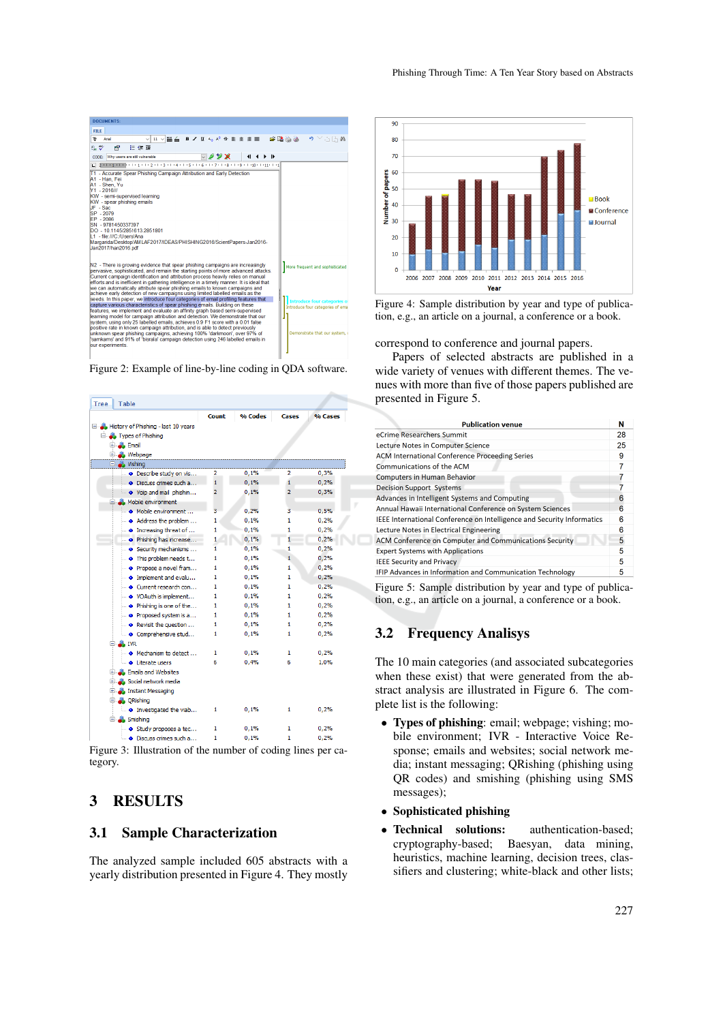

Figure 2: Example of line-by-line coding in QDA software.

| Tree                                | Table                           |                |         |                |         |
|-------------------------------------|---------------------------------|----------------|---------|----------------|---------|
|                                     |                                 | Count          | % Codes | Cases          | % Cases |
| History of Phishing - last 10 years |                                 |                |         |                |         |
|                                     | Fig. Types of Phishing          |                |         |                |         |
|                                     | El <b>B</b> Email               |                |         |                |         |
|                                     | <b>Webpage</b><br>⊕.,           |                |         |                |         |
|                                     | <b>Ellen Vishing</b>            |                |         |                |         |
|                                     | · Describe study on vis         | 2              | 0,1%    | 2              | 0,3%    |
|                                     | · Discuss crimes such a         | 1              | 0,1%    | 1              | 0,2%    |
|                                     | • Voip and mail phishin         | $\overline{2}$ | 0,1%    | $\overline{2}$ | 0,3%    |
|                                     | <b>Mobile environment</b>       |                |         |                |         |
|                                     | • Mobile environment            | 3              | 0.2%    | з              | 0.5%    |
|                                     | Address the problem             | 1              | 0,1%    | 1              | 0,2%    |
|                                     | <b></b> • Increasing threat of  | 1              | 0,1%    | 1              | 0.2%    |
|                                     | . Phishing has increase         | 1              | 0,1%    | 1              | 0,2%    |
|                                     | · Security mechanisms           | 1              | 0.1%    | 1              | 0.2%    |
|                                     | • This problem needs t          | 1              | 0,1%    | 1              | 0,2%    |
|                                     | • Propose a novel fram          | 1              | 0,1%    | 1              | 0,2%    |
|                                     | $\bullet$ Implement and evalu   | 1              | 0.1%    | 1              | 0.2%    |
|                                     | O Current research con          | 1              | 0,1%    | 1              | 0.2%    |
|                                     | . VOAuth is implement           | 1              | 0,1%    | 1              | 0,2%    |
|                                     | . Phishing is one of the        | 1              | 0,1%    | 1              | 0,2%    |
|                                     | • Proposed system is a          | 1              | 0.1%    | 1              | 0.2%    |
|                                     | • Revisit the question          | 1              | 0,1%    | 1              | 0.2%    |
|                                     | · Comprehensive stud            | 1              | 0.1%    | 1              | 0,2%    |
|                                     | $\Box$ . IVR                    |                |         |                |         |
|                                     | • Mechanism to detect           | 1              | 0,1%    | 1              | 0,2%    |
|                                     | <b>O</b> Literate users         | 6              | 0.4%    | 6              | 1.0%    |
|                                     | <b>Emails and Websites</b><br>田 |                |         |                |         |
| 国                                   | Social network media            |                |         |                |         |
|                                     | <b>Instant Messaging</b><br>国   |                |         |                |         |
|                                     | ORishing<br>84                  |                |         |                |         |
|                                     | <b>O</b> Investigated the viab  | 1              | 0,1%    | 1              | 0.2%    |
|                                     | Smishing<br>Ξ.                  |                |         |                |         |
|                                     | · Study proposes a tec          | 1              | 0,1%    | 1              | 0,2%    |
|                                     | · Discuss crimes such a         | 1              | 0,1%    | 1              | 0,2%    |
|                                     | $\cdot$                         |                |         |                |         |

Figure 3: Illustration of the number of coding lines per category.

# 3 RESULTS

### 3.1 Sample Characterization

The analyzed sample included 605 abstracts with a yearly distribution presented in Figure 4. They mostly



Figure 4: Sample distribution by year and type of publication, e.g., an article on a journal, a conference or a book.

correspond to conference and journal papers.

Papers of selected abstracts are published in a wide variety of venues with different themes. The venues with more than five of those papers published are presented in Figure 5.

| <b>Publication venue</b>                                               | N |  |  |  |
|------------------------------------------------------------------------|---|--|--|--|
| eCrime Researchers Summit                                              |   |  |  |  |
| Lecture Notes in Computer Science                                      |   |  |  |  |
| <b>ACM International Conference Proceeding Series</b>                  |   |  |  |  |
| Communications of the ACM                                              |   |  |  |  |
| <b>Computers in Human Behavior</b>                                     |   |  |  |  |
| <b>Decision Support Systems</b>                                        |   |  |  |  |
| Advances in Intelligent Systems and Computing                          |   |  |  |  |
| Annual Hawaii International Conference on System Sciences              |   |  |  |  |
| IEEE International Conference on Intelligence and Security Informatics |   |  |  |  |
| Lecture Notes in Electrical Engineering                                |   |  |  |  |
| ACM Conference on Computer and Communications Security                 |   |  |  |  |
| <b>Expert Systems with Applications</b>                                | 5 |  |  |  |
| <b>IEEE Security and Privacy</b>                                       |   |  |  |  |
| IFIP Advances in Information and Communication Technology              | 5 |  |  |  |

Figure 5: Sample distribution by year and type of publication, e.g., an article on a journal, a conference or a book.

## 3.2 Frequency Analisys

o

The 10 main categories (and associated subcategories when these exist) that were generated from the abstract analysis are illustrated in Figure 6. The complete list is the following:

- Types of phishing: email; webpage; vishing; mobile environment; IVR - Interactive Voice Response; emails and websites; social network media; instant messaging; QRishing (phishing using QR codes) and smishing (phishing using SMS messages);
- Sophisticated phishing
- Technical solutions: authentication-based; cryptography-based; Baesyan, data mining, heuristics, machine learning, decision trees, classifiers and clustering; white-black and other lists;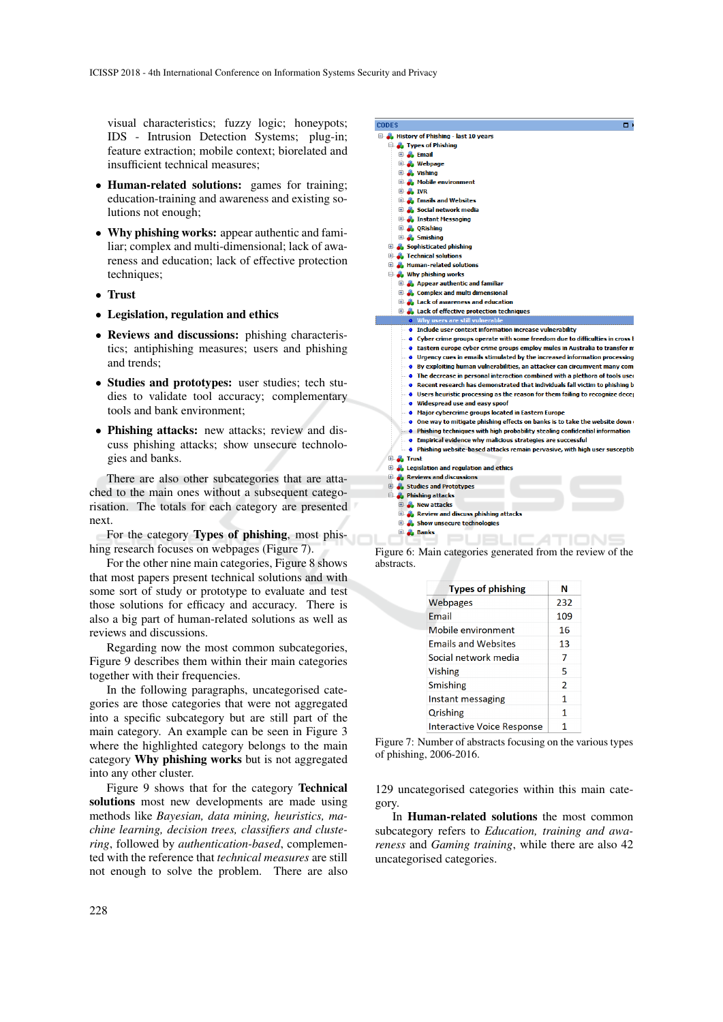visual characteristics; fuzzy logic; honeypots; IDS - Intrusion Detection Systems; plug-in; feature extraction; mobile context; biorelated and insufficient technical measures;

- Human-related solutions: games for training; education-training and awareness and existing solutions not enough;
- Why phishing works: appear authentic and familiar; complex and multi-dimensional; lack of awareness and education; lack of effective protection techniques;
- Trust
- Legislation, regulation and ethics
- Reviews and discussions: phishing characteristics; antiphishing measures; users and phishing and trends;
- Studies and prototypes: user studies; tech studies to validate tool accuracy; complementary tools and bank environment;
- Phishing attacks: new attacks; review and discuss phishing attacks; show unsecure technologies and banks.

There are also other subcategories that are attached to the main ones without a subsequent categorisation. The totals for each category are presented next.

For the category Types of phishing, most phishing research focuses on webpages (Figure 7).

For the other nine main categories, Figure 8 shows that most papers present technical solutions and with some sort of study or prototype to evaluate and test those solutions for efficacy and accuracy. There is also a big part of human-related solutions as well as reviews and discussions.

Regarding now the most common subcategories, Figure 9 describes them within their main categories together with their frequencies.

In the following paragraphs, uncategorised categories are those categories that were not aggregated into a specific subcategory but are still part of the main category. An example can be seen in Figure 3 where the highlighted category belongs to the main category Why phishing works but is not aggregated into any other cluster.

Figure 9 shows that for the category Technical solutions most new developments are made using methods like *Bayesian, data mining, heuristics, machine learning, decision trees, classifiers and clustering*, followed by *authentication-based*, complemented with the reference that *technical measures* are still not enough to solve the problem. There are also



abstracts.

| <b>Types of phishing</b>          | N              |
|-----------------------------------|----------------|
| Webpages                          | 232            |
| Email                             | 109            |
| Mobile environment                | 16             |
| <b>Emails and Websites</b>        | 13             |
| Social network media              | 7              |
| Vishing                           | 5              |
| Smishing                          | $\overline{2}$ |
| Instant messaging                 | 1              |
| Qrishing                          | 1              |
| <b>Interactive Voice Response</b> | 1              |

Figure 7: Number of abstracts focusing on the various types of phishing, 2006-2016.

129 uncategorised categories within this main category.

In Human-related solutions the most common subcategory refers to *Education, training and awareness* and *Gaming training*, while there are also 42 uncategorised categories.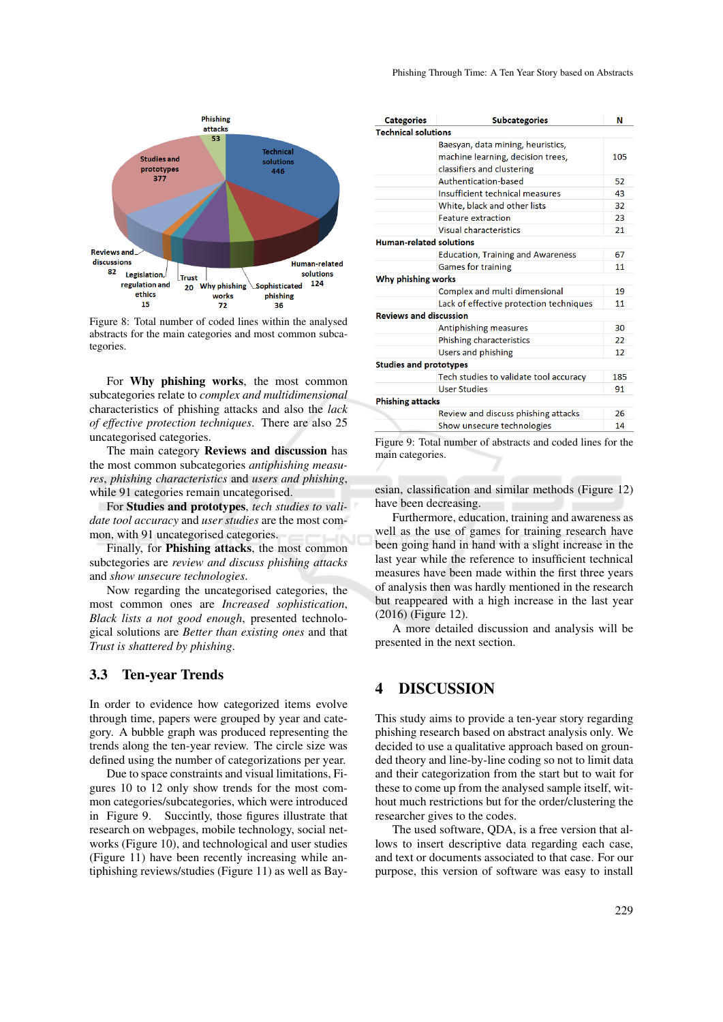

Figure 8: Total number of coded lines within the analysed abstracts for the main categories and most common subcategories.

For Why phishing works, the most common subcategories relate to *complex and multidimensional* characteristics of phishing attacks and also the *lack of effective protection techniques*. There are also 25 uncategorised categories.

The main category Reviews and discussion has the most common subcategories *antiphishing measures*, *phishing characteristics* and *users and phishing*, while 91 categories remain uncategorised.

For Studies and prototypes, *tech studies to validate tool accuracy* and *user studies* are the most common, with 91 uncategorised categories.

Finally, for Phishing attacks, the most common subctegories are *review and discuss phishing attacks* and *show unsecure technologies*.

Now regarding the uncategorised categories, the most common ones are *Increased sophistication*, *Black lists a not good enough*, presented technological solutions are *Better than existing ones* and that *Trust is shattered by phishing*.

### 3.3 Ten-year Trends

In order to evidence how categorized items evolve through time, papers were grouped by year and category. A bubble graph was produced representing the trends along the ten-year review. The circle size was defined using the number of categorizations per year.

Due to space constraints and visual limitations, Figures 10 to 12 only show trends for the most common categories/subcategories, which were introduced in Figure 9. Succintly, those figures illustrate that research on webpages, mobile technology, social networks (Figure 10), and technological and user studies (Figure 11) have been recently increasing while antiphishing reviews/studies (Figure 11) as well as Bay-

| <b>Categories</b>              | <b>Subcategories</b>                     | N   |
|--------------------------------|------------------------------------------|-----|
| <b>Technical solutions</b>     |                                          |     |
|                                | Baesyan, data mining, heuristics,        |     |
|                                | machine learning, decision trees,        | 105 |
|                                | classifiers and clustering               |     |
|                                | Authentication-based                     | 52  |
|                                | Insufficient technical measures          | 43  |
|                                | White, black and other lists             | 32  |
|                                | <b>Feature extraction</b>                | 23  |
|                                | Visual characteristics                   | 21  |
| <b>Human-related solutions</b> |                                          |     |
|                                | <b>Education, Training and Awareness</b> | 67  |
|                                | <b>Games for training</b>                | 11  |
| Why phishing works             |                                          |     |
|                                | Complex and multi dimensional            | 19  |
|                                | Lack of effective protection techniques  | 11  |
| <b>Reviews and discussion</b>  |                                          |     |
|                                | Antiphishing measures                    | 30  |
|                                | Phishing characteristics                 | 22  |
|                                | Users and phishing                       | 12  |
| <b>Studies and prototypes</b>  |                                          |     |
|                                | Tech studies to validate tool accuracy   | 185 |
|                                | <b>User Studies</b>                      | 91  |
| <b>Phishing attacks</b>        |                                          |     |
|                                | Review and discuss phishing attacks      | 26  |
|                                | Show unsecure technologies               | 14  |

Figure 9: Total number of abstracts and coded lines for the main categories.

esian, classification and similar methods (Figure 12) have been decreasing.

Furthermore, education, training and awareness as well as the use of games for training research have been going hand in hand with a slight increase in the last year while the reference to insufficient technical measures have been made within the first three years of analysis then was hardly mentioned in the research but reappeared with a high increase in the last year (2016) (Figure 12).

A more detailed discussion and analysis will be presented in the next section.

# 4 DISCUSSION

This study aims to provide a ten-year story regarding phishing research based on abstract analysis only. We decided to use a qualitative approach based on grounded theory and line-by-line coding so not to limit data and their categorization from the start but to wait for these to come up from the analysed sample itself, without much restrictions but for the order/clustering the researcher gives to the codes.

The used software, QDA, is a free version that allows to insert descriptive data regarding each case, and text or documents associated to that case. For our purpose, this version of software was easy to install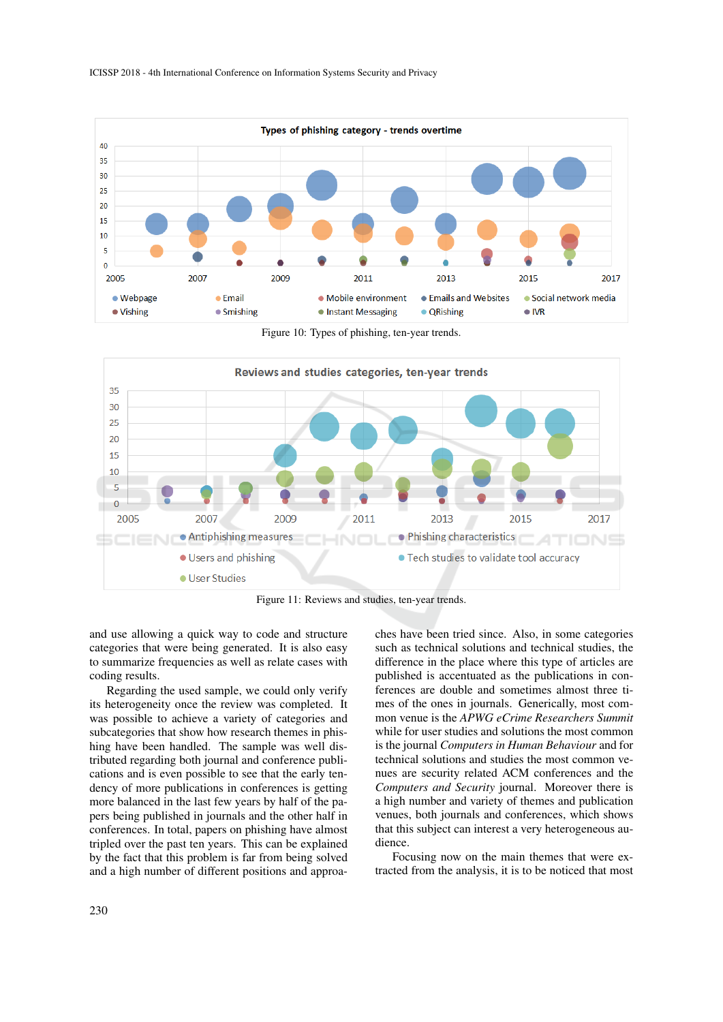

Figure 10: Types of phishing, ten-year trends.



Figure 11: Reviews and studies, ten-year trends.

and use allowing a quick way to code and structure categories that were being generated. It is also easy to summarize frequencies as well as relate cases with coding results.

Regarding the used sample, we could only verify its heterogeneity once the review was completed. It was possible to achieve a variety of categories and subcategories that show how research themes in phishing have been handled. The sample was well distributed regarding both journal and conference publications and is even possible to see that the early tendency of more publications in conferences is getting more balanced in the last few years by half of the papers being published in journals and the other half in conferences. In total, papers on phishing have almost tripled over the past ten years. This can be explained by the fact that this problem is far from being solved and a high number of different positions and approaches have been tried since. Also, in some categories such as technical solutions and technical studies, the difference in the place where this type of articles are published is accentuated as the publications in conferences are double and sometimes almost three times of the ones in journals. Generically, most common venue is the *APWG eCrime Researchers Summit* while for user studies and solutions the most common is the journal *Computers in Human Behaviour* and for technical solutions and studies the most common venues are security related ACM conferences and the *Computers and Security* journal. Moreover there is a high number and variety of themes and publication venues, both journals and conferences, which shows that this subject can interest a very heterogeneous audience.

Focusing now on the main themes that were extracted from the analysis, it is to be noticed that most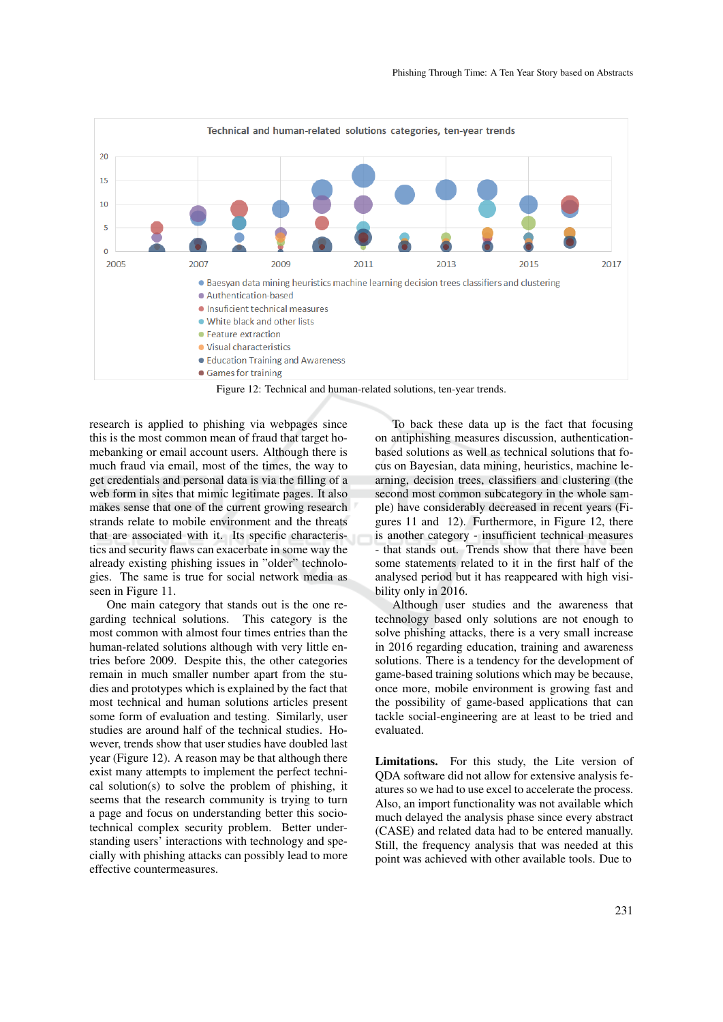

Figure 12: Technical and human-related solutions, ten-year trends.

research is applied to phishing via webpages since this is the most common mean of fraud that target homebanking or email account users. Although there is much fraud via email, most of the times, the way to get credentials and personal data is via the filling of a web form in sites that mimic legitimate pages. It also makes sense that one of the current growing research strands relate to mobile environment and the threats that are associated with it. Its specific characteristics and security flaws can exacerbate in some way the already existing phishing issues in "older" technologies. The same is true for social network media as seen in Figure 11.

One main category that stands out is the one regarding technical solutions. This category is the most common with almost four times entries than the human-related solutions although with very little entries before 2009. Despite this, the other categories remain in much smaller number apart from the studies and prototypes which is explained by the fact that most technical and human solutions articles present some form of evaluation and testing. Similarly, user studies are around half of the technical studies. However, trends show that user studies have doubled last year (Figure 12). A reason may be that although there exist many attempts to implement the perfect technical solution(s) to solve the problem of phishing, it seems that the research community is trying to turn a page and focus on understanding better this sociotechnical complex security problem. Better understanding users' interactions with technology and specially with phishing attacks can possibly lead to more effective countermeasures.

To back these data up is the fact that focusing on antiphishing measures discussion, authenticationbased solutions as well as technical solutions that focus on Bayesian, data mining, heuristics, machine learning, decision trees, classifiers and clustering (the second most common subcategory in the whole sample) have considerably decreased in recent years (Figures 11 and 12). Furthermore, in Figure 12, there is another category - insufficient technical measures - that stands out. Trends show that there have been some statements related to it in the first half of the analysed period but it has reappeared with high visibility only in 2016.

Although user studies and the awareness that technology based only solutions are not enough to solve phishing attacks, there is a very small increase in 2016 regarding education, training and awareness solutions. There is a tendency for the development of game-based training solutions which may be because, once more, mobile environment is growing fast and the possibility of game-based applications that can tackle social-engineering are at least to be tried and evaluated.

Limitations. For this study, the Lite version of QDA software did not allow for extensive analysis features so we had to use excel to accelerate the process. Also, an import functionality was not available which much delayed the analysis phase since every abstract (CASE) and related data had to be entered manually. Still, the frequency analysis that was needed at this point was achieved with other available tools. Due to